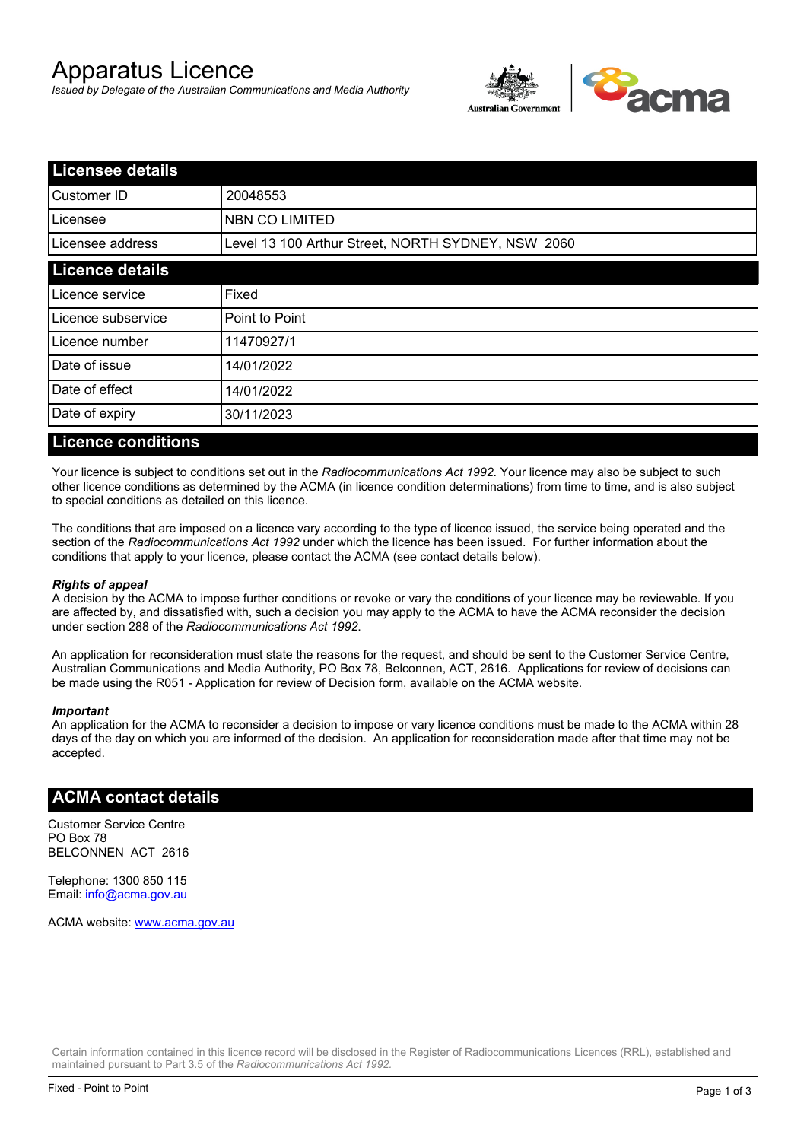# Apparatus Licence

*Issued by Delegate of the Australian Communications and Media Authority*



| <b>Licensee details</b> |                                                    |  |
|-------------------------|----------------------------------------------------|--|
| Customer ID             | 20048553                                           |  |
| ILicensee               | NBN CO LIMITED                                     |  |
| Licensee address        | Level 13 100 Arthur Street, NORTH SYDNEY, NSW 2060 |  |
| <b>Licence details</b>  |                                                    |  |
| Licence service         | Fixed                                              |  |
| Licence subservice      | Point to Point                                     |  |
| Licence number          | 11470927/1                                         |  |
| Date of issue           | 14/01/2022                                         |  |
| Date of effect          | 14/01/2022                                         |  |
| Date of expiry          | 30/11/2023                                         |  |
|                         |                                                    |  |

### **Licence conditions**

Your licence is subject to conditions set out in the *Radiocommunications Act 1992*. Your licence may also be subject to such other licence conditions as determined by the ACMA (in licence condition determinations) from time to time, and is also subject to special conditions as detailed on this licence.

The conditions that are imposed on a licence vary according to the type of licence issued, the service being operated and the section of the *Radiocommunications Act 1992* under which the licence has been issued. For further information about the conditions that apply to your licence, please contact the ACMA (see contact details below).

#### *Rights of appeal*

A decision by the ACMA to impose further conditions or revoke or vary the conditions of your licence may be reviewable. If you are affected by, and dissatisfied with, such a decision you may apply to the ACMA to have the ACMA reconsider the decision under section 288 of the *Radiocommunications Act 1992*.

An application for reconsideration must state the reasons for the request, and should be sent to the Customer Service Centre, Australian Communications and Media Authority, PO Box 78, Belconnen, ACT, 2616. Applications for review of decisions can be made using the R051 - Application for review of Decision form, available on the ACMA website.

#### *Important*

An application for the ACMA to reconsider a decision to impose or vary licence conditions must be made to the ACMA within 28 days of the day on which you are informed of the decision. An application for reconsideration made after that time may not be accepted.

#### **ACMA contact details**

Customer Service Centre PO Box 78 BELCONNEN ACT 2616

Telephone: 1300 850 115 Email: info@acma.gov.au

ACMA website: www.acma.gov.au

Certain information contained in this licence record will be disclosed in the Register of Radiocommunications Licences (RRL), established and maintained pursuant to Part 3.5 of the *Radiocommunications Act 1992.*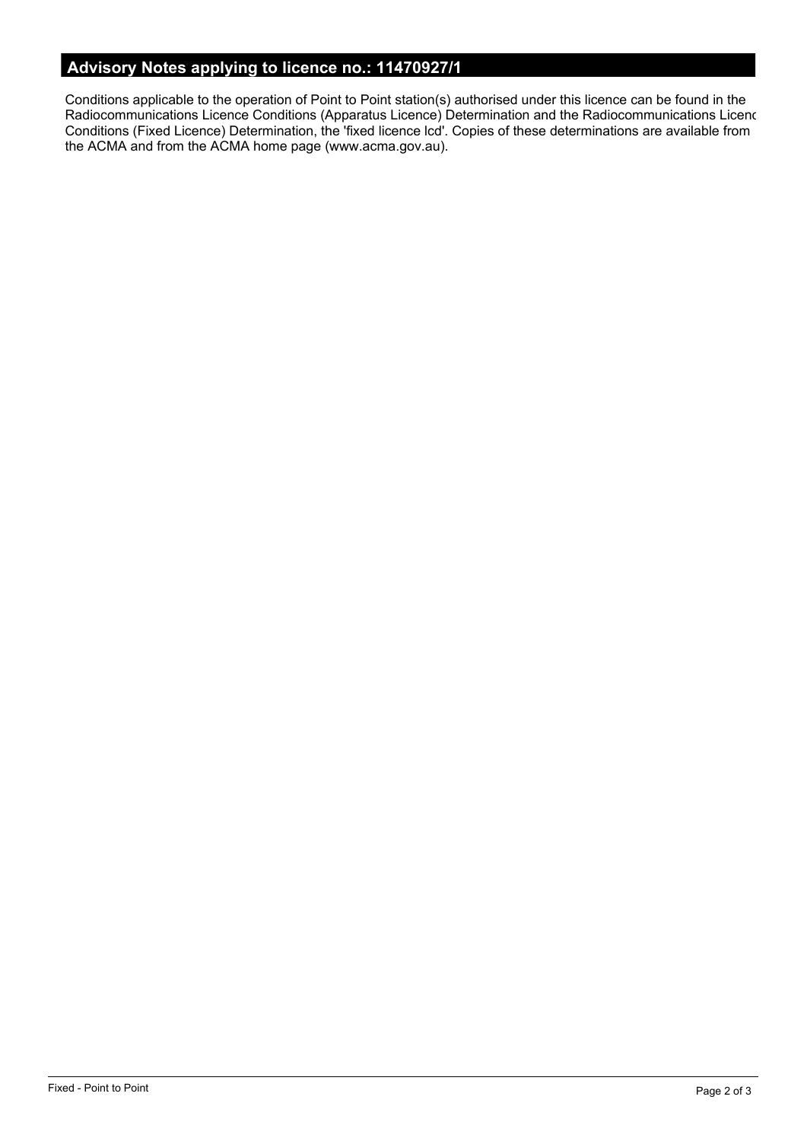# **Advisory Notes applying to licence no.: 11470927/1**

Conditions applicable to the operation of Point to Point station(s) authorised under this licence can be found in the Radiocommunications Licence Conditions (Apparatus Licence) Determination and the Radiocommunications Licence Conditions (Fixed Licence) Determination, the 'fixed licence lcd'. Copies of these determinations are available from the ACMA and from the ACMA home page (www.acma.gov.au).